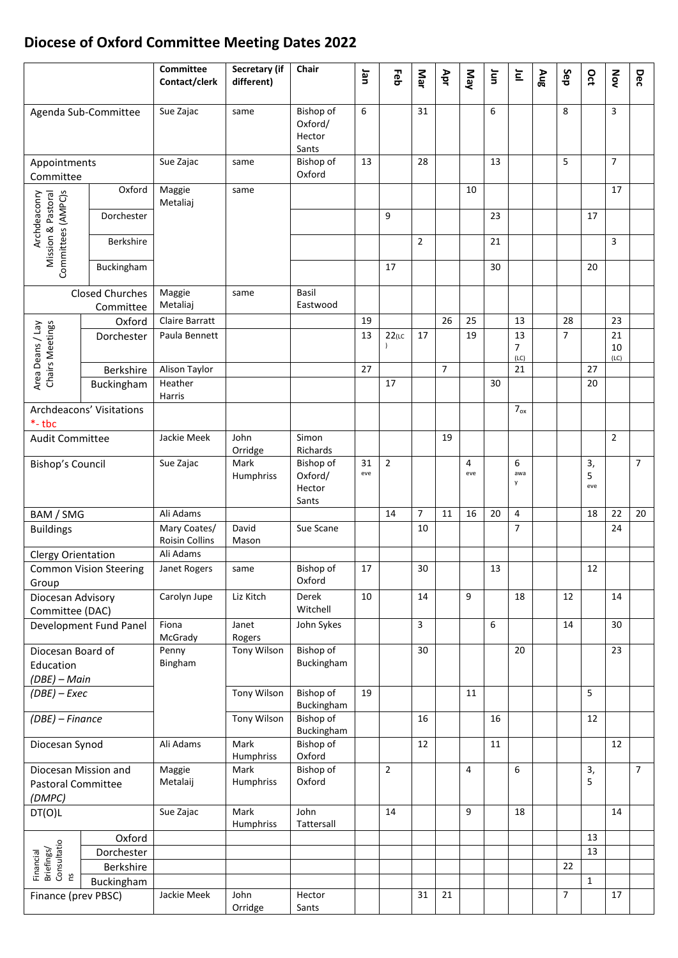## **Diocese of Oxford Committee Meeting Dates 20 2 2**

|                                                          |                  | Committee<br>Contact/clerk            | Secretary (if<br>different) | Chair                                   | Jan       | Feb            | Mar            | Apr            | Nay      | Ξ  | $\overline{\Xi}$ | Aug | Sep            | Oct            | Nov            | Dec            |
|----------------------------------------------------------|------------------|---------------------------------------|-----------------------------|-----------------------------------------|-----------|----------------|----------------|----------------|----------|----|------------------|-----|----------------|----------------|----------------|----------------|
| Agenda Sub-Committee                                     |                  | Sue Zajac                             | same                        | Bishop of<br>Oxford/<br>Hector<br>Sants | 6         |                | 31             |                |          | 6  |                  |     | 8              |                | 3              |                |
| Appointments<br>Committee                                |                  | Sue Zajac                             | same                        | Bishop of<br>Oxford                     | 13        |                | 28             |                |          | 13 |                  |     | 5              |                | $\overline{7}$ |                |
| Archdeaconry<br>Mission & Pastoral<br>Committees (AMPC)s | Oxford           | Maggie<br>Metaliaj                    | same                        |                                         |           |                |                |                | 10       |    |                  |     |                |                | 17             |                |
|                                                          | Dorchester       |                                       |                             |                                         |           | 9              |                |                |          | 23 |                  |     |                | 17             |                |                |
|                                                          | <b>Berkshire</b> |                                       |                             |                                         |           |                | $\overline{2}$ |                |          | 21 |                  |     |                |                | 3              |                |
|                                                          | Buckingham       |                                       |                             |                                         |           | 17             |                |                |          | 30 |                  |     |                | 20             |                |                |
| <b>Closed Churches</b><br>Committee                      |                  | Maggie<br>Metaliaj                    | same                        | Basil<br>Eastwood                       |           |                |                |                |          |    |                  |     |                |                |                |                |
|                                                          | Oxford           | <b>Claire Barratt</b>                 |                             |                                         | 19        |                |                | 26             | 25       |    | 13               |     | 28             |                | 23             |                |
|                                                          | Dorchester       | Paula Bennett                         |                             |                                         | 13        | $22$ (LC       | 17             |                | 19       |    | 13               |     | $\overline{7}$ |                | 21             |                |
| Area Deans / Lay<br>Chairs Meetings                      |                  |                                       |                             |                                         |           |                |                |                |          |    | 7<br>(LC)        |     |                |                | 10<br>(LC)     |                |
|                                                          | Berkshire        | Alison Taylor                         |                             |                                         | 27        |                |                | $\overline{7}$ |          |    | 21               |     |                | 27             |                |                |
|                                                          | Buckingham       | Heather<br>Harris                     |                             |                                         |           | 17             |                |                |          | 30 |                  |     |                | 20             |                |                |
| Archdeacons' Visitations<br>$*$ -tbc                     |                  |                                       |                             |                                         |           |                |                |                |          |    | $7_{ox}$         |     |                |                |                |                |
| <b>Audit Committee</b>                                   |                  | Jackie Meek                           | John<br>Orridge             | Simon<br>Richards                       |           |                |                | 19             |          |    |                  |     |                |                | $\overline{2}$ |                |
| Bishop's Council                                         |                  | Sue Zajac                             | Mark<br>Humphriss           | Bishop of<br>Oxford/<br>Hector<br>Sants | 31<br>eve | $\overline{2}$ |                |                | 4<br>eve |    | 6<br>awa<br>y    |     |                | 3,<br>5<br>eve |                | $\overline{7}$ |
| BAM / SMG                                                |                  | Ali Adams                             |                             |                                         |           | 14             | 7              | 11             | 16       | 20 | 4                |     |                | 18             | 22             | 20             |
| <b>Buildings</b>                                         |                  | Mary Coates/<br><b>Roisin Collins</b> | David<br>Mason              | Sue Scane                               |           |                | 10             |                |          |    | $\overline{7}$   |     |                |                | 24             |                |
| Clergy Orientation                                       |                  | Ali Adams                             |                             |                                         |           |                |                |                |          |    |                  |     |                |                |                |                |
| <b>Common Vision Steering</b>                            |                  | Janet Rogers                          | same                        | Bishop of                               | 17        |                | 30             |                |          | 13 |                  |     |                | 12             |                |                |
| Group                                                    |                  |                                       |                             | Oxford                                  |           |                |                |                |          |    |                  |     |                |                |                |                |
| Diocesan Advisory<br>Committee (DAC)                     |                  | Carolyn Jupe                          | Liz Kitch                   | Derek<br>Witchell                       | 10        |                | 14             |                | 9        |    | 18               |     | 12             |                | 14             |                |
| Development Fund Panel                                   |                  | Fiona<br>McGrady                      | Janet<br>Rogers             | John Sykes                              |           |                | 3              |                |          | 6  |                  |     | 14             |                | 30             |                |
| Diocesan Board of                                        |                  | Penny<br>Bingham                      | Tony Wilson                 | Bishop of<br>Buckingham                 |           |                | 30             |                |          |    | 20               |     |                |                | 23             |                |
| Education<br>(DBE) - Main                                |                  |                                       |                             |                                         |           |                |                |                |          |    |                  |     |                |                |                |                |
| $(DBE)$ – Exec                                           |                  |                                       | Tony Wilson                 | Bishop of                               | 19        |                |                |                | 11       |    |                  |     |                | 5              |                |                |
| (DBE) - Finance                                          |                  |                                       | Tony Wilson                 | Buckingham<br>Bishop of                 |           |                | 16             |                |          | 16 |                  |     |                | 12             |                |                |
| Diocesan Synod                                           |                  | Ali Adams                             | Mark                        | Buckingham<br>Bishop of                 |           |                | 12             |                |          | 11 |                  |     |                |                | 12             |                |
| Diocesan Mission and                                     |                  | Maggie                                | Humphriss<br>Mark           | Oxford<br>Bishop of                     |           | $\overline{2}$ |                |                | 4        |    | 6                |     |                | 3,             |                | $7^{\circ}$    |
| Pastoral Committee<br>(DMPC)                             |                  | Metalaij                              | Humphriss                   | Oxford                                  |           |                |                |                |          |    |                  |     |                | 5              |                |                |
| DT(O)L                                                   |                  | Sue Zajac                             | Mark<br>Humphriss           | John<br>Tattersall                      |           | 14             |                |                | 9        |    | 18               |     |                |                | 14             |                |
|                                                          | Oxford           |                                       |                             |                                         |           |                |                |                |          |    |                  |     |                | 13             |                |                |
| Briefings/<br>Consultatio<br>ns                          | Dorchester       |                                       |                             |                                         |           |                |                |                |          |    |                  |     |                | 13             |                |                |
| Financial                                                | Berkshire        |                                       |                             |                                         |           |                |                |                |          |    |                  |     | 22             |                |                |                |
|                                                          | Buckingham       |                                       |                             |                                         |           |                |                |                |          |    |                  |     |                | $\mathbf{1}$   |                |                |
| Finance (prev PBSC)                                      |                  | Jackie Meek                           | John<br>Orridge             | Hector<br>Sants                         |           |                | 31             | 21             |          |    |                  |     | $\overline{7}$ |                | 17             |                |